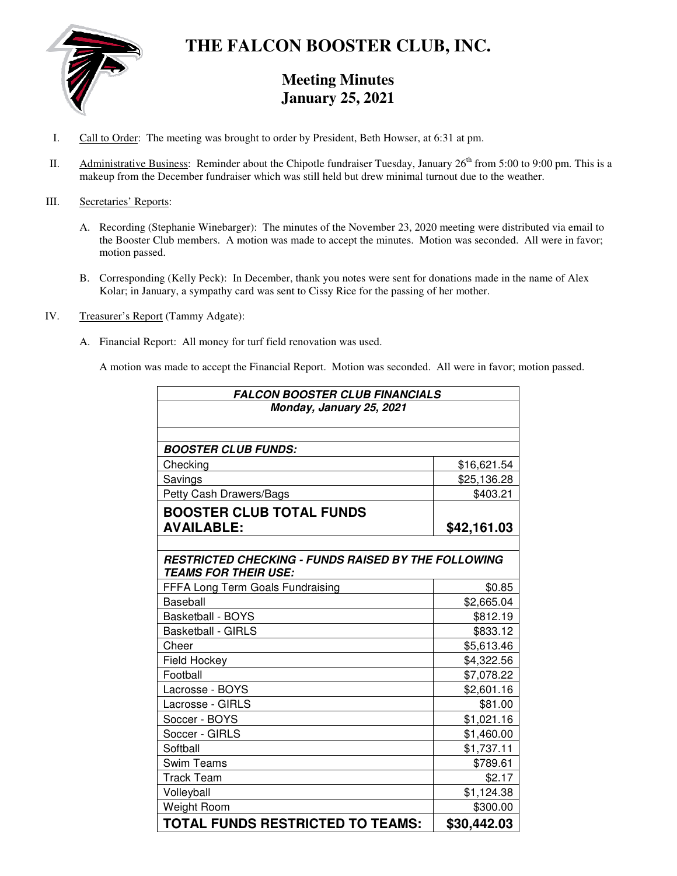

## **THE FALCON BOOSTER CLUB, INC.**

### **Meeting Minutes January 25, 2021**

- I. Call to Order: The meeting was brought to order by President, Beth Howser, at 6:31 at pm.
- II. Administrative Business: Reminder about the Chipotle fundraiser Tuesday, January  $26<sup>th</sup>$  from 5:00 to 9:00 pm. This is a makeup from the December fundraiser which was still held but drew minimal turnout due to the weather.

### III. Secretaries' Reports:

- A. Recording (Stephanie Winebarger): The minutes of the November 23, 2020 meeting were distributed via email to the Booster Club members. A motion was made to accept the minutes. Motion was seconded. All were in favor; motion passed.
- B. Corresponding (Kelly Peck): In December, thank you notes were sent for donations made in the name of Alex Kolar; in January, a sympathy card was sent to Cissy Rice for the passing of her mother.
- IV. Treasurer's Report (Tammy Adgate):
	- A. Financial Report: All money for turf field renovation was used.

A motion was made to accept the Financial Report. Motion was seconded. All were in favor; motion passed.

| <b>FALCON BOOSTER CLUB FINANCIALS</b>                      |             |
|------------------------------------------------------------|-------------|
| Monday, January 25, 2021                                   |             |
|                                                            |             |
|                                                            |             |
| <b>BOOSTER CLUB FUNDS:</b>                                 |             |
| Checking                                                   | \$16,621.54 |
| Savings                                                    | \$25,136.28 |
| Petty Cash Drawers/Bags                                    | \$403.21    |
| <b>BOOSTER CLUB TOTAL FUNDS</b>                            |             |
| <b>AVAILABLE:</b>                                          | \$42,161.03 |
|                                                            |             |
| <b>RESTRICTED CHECKING - FUNDS RAISED BY THE FOLLOWING</b> |             |
| <b>TEAMS FOR THEIR USE:</b>                                |             |
| FFFA Long Term Goals Fundraising                           | \$0.85      |
| Baseball                                                   | \$2,665.04  |
| Basketball - BOYS                                          | \$812.19    |
| <b>Basketball - GIRLS</b>                                  | \$833.12    |
| Cheer                                                      | \$5,613.46  |
| Field Hockey                                               | \$4,322.56  |
| Football                                                   | \$7,078.22  |
| Lacrosse - BOYS                                            | \$2,601.16  |
| Lacrosse - GIRLS                                           | \$81.00     |
| Soccer - BOYS                                              | \$1,021.16  |
| Soccer - GIRLS                                             | \$1,460.00  |
| Softball                                                   | \$1,737.11  |
| Swim Teams                                                 | \$789.61    |
| <b>Track Team</b>                                          | \$2.17      |
| Volleyball                                                 | \$1,124.38  |
| Weight Room                                                | \$300.00    |
| <b>TOTAL FUNDS RESTRICTED TO TEAMS:</b>                    | \$30,442.03 |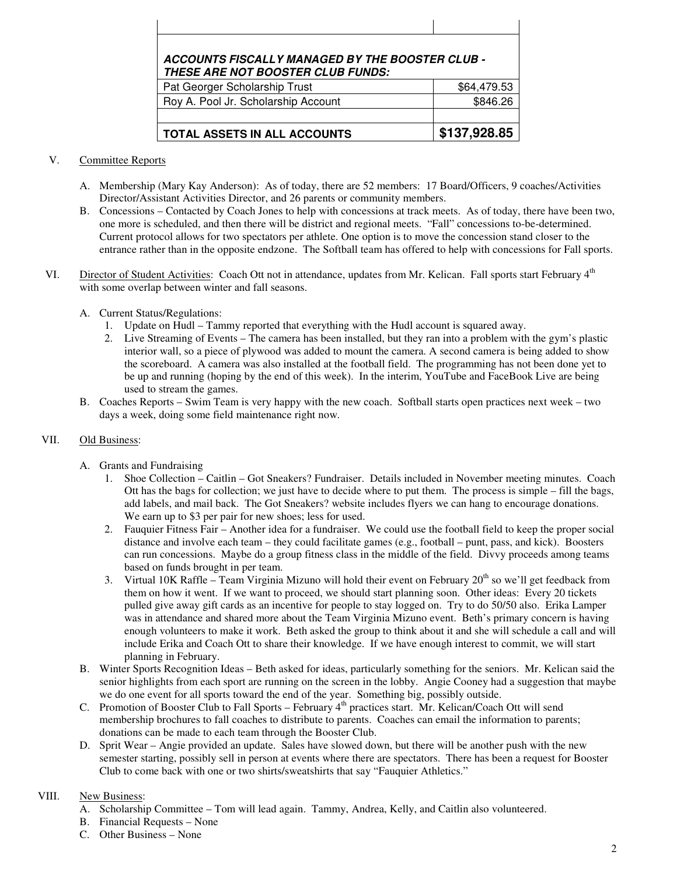# **ACCOUNTS FISCALLY MANAGED BY THE BOOSTER CLUB - THESE ARE NOT BOOSTER CLUB FUNDS:** Pat Georger Scholarship Trust  $\sim$  \$64,479.53

| <b>TOTAL ASSETS IN ALL ACCOUNTS</b> | \$137,928.85 |
|-------------------------------------|--------------|
|                                     |              |
| Roy A. Pool Jr. Scholarship Account | \$846.26     |
| Pat Georger Scholarship Trust       | \$64,479.53  |

#### V. Committee Reports

- A. Membership (Mary Kay Anderson): As of today, there are 52 members: 17 Board/Officers, 9 coaches/Activities Director/Assistant Activities Director, and 26 parents or community members.
- B. Concessions Contacted by Coach Jones to help with concessions at track meets. As of today, there have been two, one more is scheduled, and then there will be district and regional meets. "Fall" concessions to-be-determined. Current protocol allows for two spectators per athlete. One option is to move the concession stand closer to the entrance rather than in the opposite endzone. The Softball team has offered to help with concessions for Fall sports.
- VI. Director of Student Activities: Coach Ott not in attendance, updates from Mr. Kelican. Fall sports start February 4<sup>th</sup> with some overlap between winter and fall seasons.
	- A. Current Status/Regulations:
		- 1. Update on Hudl Tammy reported that everything with the Hudl account is squared away.
		- 2. Live Streaming of Events The camera has been installed, but they ran into a problem with the gym's plastic interior wall, so a piece of plywood was added to mount the camera. A second camera is being added to show the scoreboard. A camera was also installed at the football field. The programming has not been done yet to be up and running (hoping by the end of this week). In the interim, YouTube and FaceBook Live are being used to stream the games.
	- B. Coaches Reports Swim Team is very happy with the new coach. Softball starts open practices next week two days a week, doing some field maintenance right now.

### VII. Old Business:

- A. Grants and Fundraising
	- 1. Shoe Collection Caitlin Got Sneakers? Fundraiser. Details included in November meeting minutes. Coach Ott has the bags for collection; we just have to decide where to put them. The process is simple – fill the bags, add labels, and mail back. The Got Sneakers? website includes flyers we can hang to encourage donations. We earn up to \$3 per pair for new shoes; less for used.
	- 2. Fauquier Fitness Fair Another idea for a fundraiser. We could use the football field to keep the proper social distance and involve each team – they could facilitate games (e.g., football – punt, pass, and kick). Boosters can run concessions. Maybe do a group fitness class in the middle of the field. Divvy proceeds among teams based on funds brought in per team.
	- 3. Virtual 10K Raffle Team Virginia Mizuno will hold their event on February  $20<sup>th</sup>$  so we'll get feedback from them on how it went. If we want to proceed, we should start planning soon. Other ideas: Every 20 tickets pulled give away gift cards as an incentive for people to stay logged on. Try to do 50/50 also. Erika Lamper was in attendance and shared more about the Team Virginia Mizuno event. Beth's primary concern is having enough volunteers to make it work. Beth asked the group to think about it and she will schedule a call and will include Erika and Coach Ott to share their knowledge. If we have enough interest to commit, we will start planning in February.
- B. Winter Sports Recognition Ideas Beth asked for ideas, particularly something for the seniors. Mr. Kelican said the senior highlights from each sport are running on the screen in the lobby. Angie Cooney had a suggestion that maybe we do one event for all sports toward the end of the year. Something big, possibly outside.
- C. Promotion of Booster Club to Fall Sports February 4<sup>th</sup> practices start. Mr. Kelican/Coach Ott will send membership brochures to fall coaches to distribute to parents. Coaches can email the information to parents; donations can be made to each team through the Booster Club.
- D. Sprit Wear Angie provided an update. Sales have slowed down, but there will be another push with the new semester starting, possibly sell in person at events where there are spectators. There has been a request for Booster Club to come back with one or two shirts/sweatshirts that say "Fauquier Athletics."

### VIII. New Business:

- A. Scholarship Committee Tom will lead again. Tammy, Andrea, Kelly, and Caitlin also volunteered.
- B. Financial Requests None
- C. Other Business None